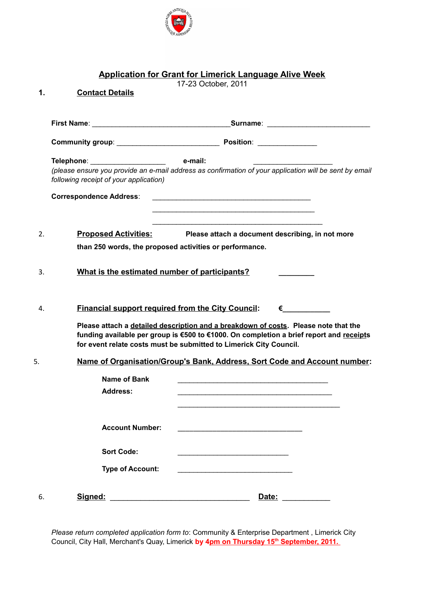

## **Application for Grant for Limerick Language Alive Week**

17-23 October, 2011

| 1. | <b>Contact Details</b>                                                    |                                                                                                                                                                                                                                                                                                                                                                                                                                                                                                                                                                                                                                            |
|----|---------------------------------------------------------------------------|--------------------------------------------------------------------------------------------------------------------------------------------------------------------------------------------------------------------------------------------------------------------------------------------------------------------------------------------------------------------------------------------------------------------------------------------------------------------------------------------------------------------------------------------------------------------------------------------------------------------------------------------|
|    |                                                                           |                                                                                                                                                                                                                                                                                                                                                                                                                                                                                                                                                                                                                                            |
|    |                                                                           |                                                                                                                                                                                                                                                                                                                                                                                                                                                                                                                                                                                                                                            |
|    | Telephone: ____________________<br>following receipt of your application) | e-mail:<br>(please ensure you provide an e-mail address as confirmation of your application will be sent by email                                                                                                                                                                                                                                                                                                                                                                                                                                                                                                                          |
|    | <b>Correspondence Address:</b>                                            |                                                                                                                                                                                                                                                                                                                                                                                                                                                                                                                                                                                                                                            |
| 2. |                                                                           | <b>Proposed Activities:</b> Please attach a document describing, in not more<br>than 250 words, the proposed activities or performance.                                                                                                                                                                                                                                                                                                                                                                                                                                                                                                    |
| 3. | What is the estimated number of participants?                             |                                                                                                                                                                                                                                                                                                                                                                                                                                                                                                                                                                                                                                            |
| 4. | <b>Financial support required from the City Council:</b>                  | $\epsilon$ and $\epsilon$ and $\epsilon$ and $\epsilon$ and $\epsilon$ and $\epsilon$ and $\epsilon$ and $\epsilon$ and $\epsilon$ and $\epsilon$ and $\epsilon$ and $\epsilon$ and $\epsilon$ and $\epsilon$ and $\epsilon$ and $\epsilon$ and $\epsilon$ and $\epsilon$ and $\epsilon$ and $\epsilon$ and $\epsilon$ and $\epsilon$ and $\epsilon$ and $\epsilon$ and $\epsilon$<br>Please attach a detailed description and a breakdown of costs. Please note that the<br>funding available per group is €500 to €1000. On completion a brief report and receipts<br>for event relate costs must be submitted to Limerick City Council. |
| 5. |                                                                           | <u>Name of Organisation/Group's Bank, Address, Sort Code and Account number:</u>                                                                                                                                                                                                                                                                                                                                                                                                                                                                                                                                                           |
|    | <b>Name of Bank</b><br><b>Address:</b>                                    |                                                                                                                                                                                                                                                                                                                                                                                                                                                                                                                                                                                                                                            |
|    | <b>Account Number:</b>                                                    |                                                                                                                                                                                                                                                                                                                                                                                                                                                                                                                                                                                                                                            |
|    | <b>Sort Code:</b><br><b>Type of Account:</b>                              |                                                                                                                                                                                                                                                                                                                                                                                                                                                                                                                                                                                                                                            |
| 6. | Signed:                                                                   | Date:                                                                                                                                                                                                                                                                                                                                                                                                                                                                                                                                                                                                                                      |

*Please return completed application form to*: Community & Enterprise Department , Limerick City Council, City Hall, Merchant's Quay, Limerick by 4pm on Thursday 15<sup>th</sup> September, 2011.